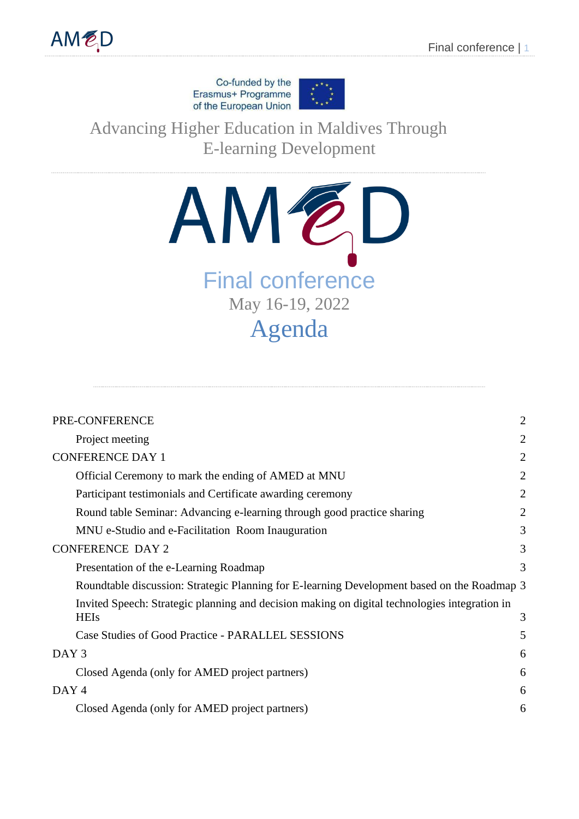Co-funded by the Erasmus+ Programme of the European Union



Advancing Higher Education in Maldives Through E-learning Development



| PRE-CONFERENCE                                                                                               |                |
|--------------------------------------------------------------------------------------------------------------|----------------|
| Project meeting                                                                                              | $\overline{2}$ |
| <b>CONFERENCE DAY 1</b>                                                                                      |                |
| Official Ceremony to mark the ending of AMED at MNU                                                          | $\overline{2}$ |
| Participant testimonials and Certificate awarding ceremony                                                   | $\overline{2}$ |
| Round table Seminar: Advancing e-learning through good practice sharing                                      | $\overline{2}$ |
| MNU e-Studio and e-Facilitation Room Inauguration                                                            | 3              |
| <b>CONFERENCE DAY 2</b>                                                                                      |                |
| Presentation of the e-Learning Roadmap                                                                       | 3              |
| Roundtable discussion: Strategic Planning for E-learning Development based on the Roadmap 3                  |                |
| Invited Speech: Strategic planning and decision making on digital technologies integration in<br><b>HEIs</b> | 3              |
| Case Studies of Good Practice - PARALLEL SESSIONS                                                            | 5              |
| DAY <sub>3</sub>                                                                                             |                |
| Closed Agenda (only for AMED project partners)                                                               | 6              |
| DAY <sub>4</sub>                                                                                             |                |
| Closed Agenda (only for AMED project partners)                                                               | 6              |
|                                                                                                              |                |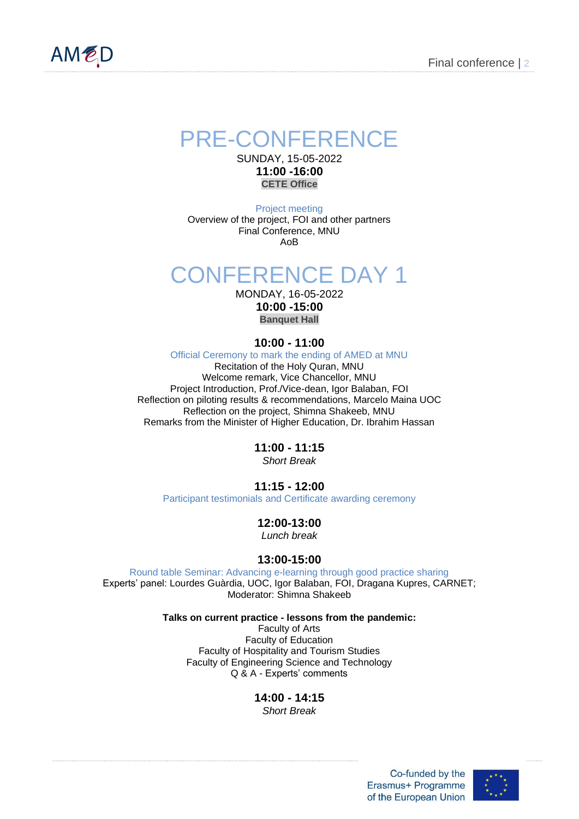<span id="page-1-0"></span>

## PRE-CONFERENCE

SUNDAY, 15-05-2022 **11:00 -16:00 CETE Office** 

Project meeting Overview of the project, FOI and other partners Final Conference, MNU AoB

# <span id="page-1-2"></span><span id="page-1-1"></span>CONFERENCE DAY 1

MONDAY, 16-05-2022 **10:00 -15:00**

**Banquet Hall**

## **10:00 - 11:00**

<span id="page-1-3"></span>Official Ceremony to mark the ending of AMED at MNU Recitation of the Holy Quran, MNU Welcome remark, Vice Chancellor, MNU Project Introduction, Prof./Vice-dean, Igor Balaban, FOI Reflection on piloting results & recommendations, Marcelo Maina UOC Reflection on the project, Shimna Shakeeb, MNU Remarks from the Minister of Higher Education, Dr. Ibrahim Hassan

> **11:00 - 11:15** *Short Break*

## **11:15 - 12:00**

Participant testimonials and Certificate awarding ceremony

## **12:00-13:00**

*Lunch break*

## **13:00-15:00**

<span id="page-1-5"></span><span id="page-1-4"></span>Round table Seminar: Advancing e-learning through good practice sharing Experts' panel: Lourdes Guàrdia, UOC, Igor Balaban, FOI, Dragana Kupres, CARNET; Moderator: Shimna Shakeeb

**Talks on current practice - lessons from the pandemic:**

Faculty of Arts Faculty of Education Faculty of Hospitality and Tourism Studies Faculty of Engineering Science and Technology Q & A - Experts' comments

**14:00 - 14:15**

*Short Break*

Co-funded by the Erasmus+ Programme of the European Union

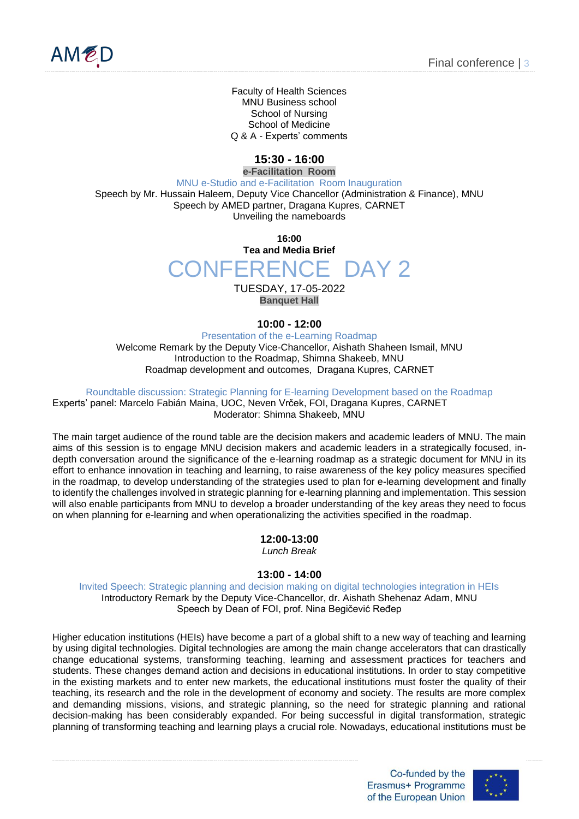

Faculty of Health Sciences MNU Business school School of Nursing School of Medicine Q & A - Experts' comments

## **15:30 - 16:00**

<span id="page-2-1"></span><span id="page-2-0"></span>**e-Facilitation Room** MNU e-Studio and e-Facilitation Room Inauguration Speech by Mr. Hussain Haleem, Deputy Vice Chancellor (Administration & Finance), MNU Speech by AMED partner, Dragana Kupres, CARNET Unveiling the nameboards

> **16:00 Tea and Media Brief** CONFERENCE DAY 2

> > TUESDAY, 17-05-2022 **Banquet Hall**

#### **10:00 - 12:00**

<span id="page-2-2"></span>Presentation of the e-Learning Roadmap Welcome Remark by the Deputy Vice-Chancellor, Aishath Shaheen Ismail, MNU Introduction to the Roadmap, Shimna Shakeeb, MNU Roadmap development and outcomes, Dragana Kupres, CARNET

Roundtable discussion: Strategic Planning for E-learning Development based on the Roadmap

<span id="page-2-3"></span>Experts' panel: Marcelo Fabián Maina, UOC, Neven Vrček, FOI, Dragana Kupres, CARNET Moderator: Shimna Shakeeb, MNU

The main target audience of the round table are the decision makers and academic leaders of MNU. The main aims of this session is to engage MNU decision makers and academic leaders in a strategically focused, indepth conversation around the significance of the e-learning roadmap as a strategic document for MNU in its effort to enhance innovation in teaching and learning, to raise awareness of the key policy measures specified in the roadmap, to develop understanding of the strategies used to plan for e-learning development and finally to identify the challenges involved in strategic planning for e-learning planning and implementation. This session will also enable participants from MNU to develop a broader understanding of the key areas they need to focus on when planning for e-learning and when operationalizing the activities specified in the roadmap.

### **12:00-13:00**

*Lunch Break*

#### **13:00 - 14:00**

<span id="page-2-4"></span>Invited Speech: Strategic planning and decision making on digital technologies integration in HEIs Introductory Remark by the Deputy Vice-Chancellor, dr. Aishath Shehenaz Adam, MNU Speech by Dean of FOI, prof. Nina Begičević Ređep

Higher education institutions (HEIs) have become a part of a global shift to a new way of teaching and learning by using digital technologies. Digital technologies are among the main change accelerators that can drastically change educational systems, transforming teaching, learning and assessment practices for teachers and students. These changes demand action and decisions in educational institutions. In order to stay competitive in the existing markets and to enter new markets, the educational institutions must foster the quality of their teaching, its research and the role in the development of economy and society. The results are more complex and demanding missions, visions, and strategic planning, so the need for strategic planning and rational decision-making has been considerably expanded. For being successful in digital transformation, strategic planning of transforming teaching and learning plays a crucial role. Nowadays, educational institutions must be

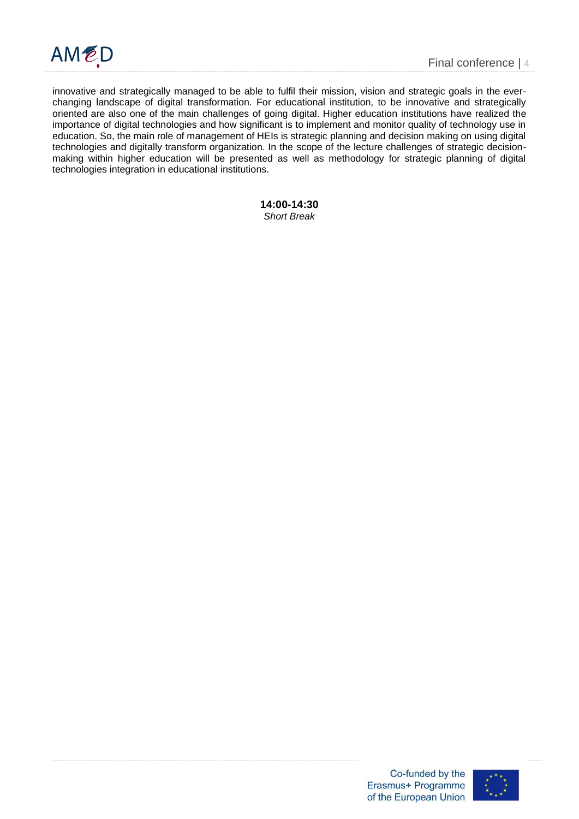

innovative and strategically managed to be able to fulfil their mission, vision and strategic goals in the everchanging landscape of digital transformation. For educational institution, to be innovative and strategically oriented are also one of the main challenges of going digital. Higher education institutions have realized the importance of digital technologies and how significant is to implement and monitor quality of technology use in education. So, the main role of management of HEIs is strategic planning and decision making on using digital technologies and digitally transform organization. In the scope of the lecture challenges of strategic decisionmaking within higher education will be presented as well as methodology for strategic planning of digital technologies integration in educational institutions.

#### **14:00-14:30** *Short Break*

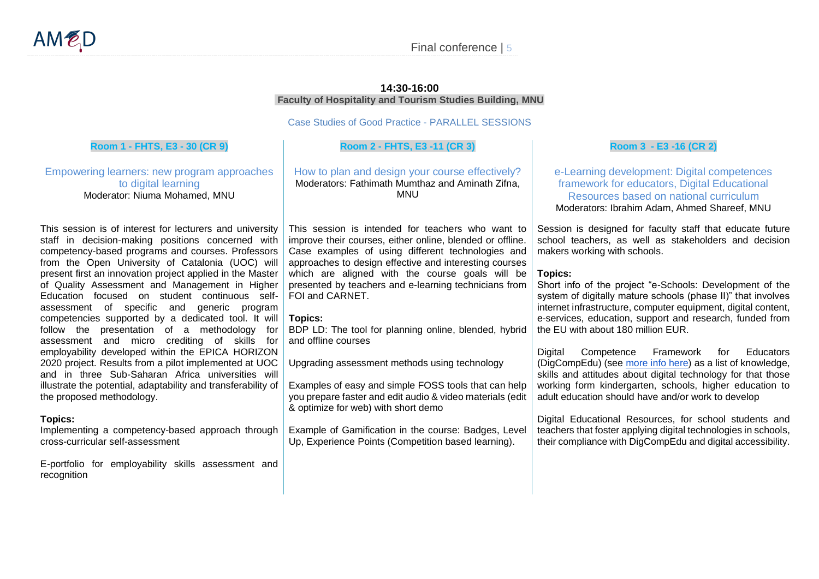#### **14:30-16:00 Faculty of Hospitality and Tourism Studies Building, MNU**

Case Studies of Good Practice - PARALLEL SESSIONS

#### **Room 1 - FHTS, E3 - 30 (CR 9)**

Empowering learners: new program approaches to digital learning Moderator: Niuma Mohamed, MNU

This session is of interest for lecturers and university staff in decision-making positions concerned with competency-based programs and courses. Professors from the Open University of Catalonia (UOC) will present first an innovation project applied in the Master of Quality Assessment and Management in Higher Education focused on student continuous selfassessment of specific and generic program competencies supported by a dedicated tool. It will follow the presentation of a methodology for assessment and micro crediting of skills for employability developed within the EPICA HORIZON 2020 project. Results from a pilot implemented at UOC and in three Sub-Saharan Africa universities will illustrate the potential, adaptability and transferability of the proposed methodology.

#### <span id="page-4-0"></span>**Topics:**

Implementing a competency-based approach through cross-curricular self-assessment

E-portfolio for employability skills assessment and recognition

#### **Room 2 - FHTS, E3 -11 (CR 3)**

How to plan and design your course effectively? Moderators: Fathimath Mumthaz and Aminath Zifna, MNU

This session is intended for teachers who want to improve their courses, either online, blended or offline. Case examples of using different technologies and approaches to design effective and interesting courses which are aligned with the course goals will be presented by teachers and e-learning technicians from FOI and CARNET.

#### **Topics:**

BDP LD: The tool for planning online, blended, hybrid and offline courses

Upgrading assessment methods using technology

Examples of easy and simple FOSS tools that can help you prepare faster and edit audio & video materials (edit & optimize for web) with short demo

Example of Gamification in the course: Badges, Level Up, Experience Points (Competition based learning).

#### **Room 3 - E3 -16 (CR 2)**

e-Learning development: Digital competences framework for educators, Digital Educational Resources based on national curriculum Moderators: Ibrahim Adam, Ahmed Shareef, MNU

Session is designed for faculty staff that educate future school teachers, as well as stakeholders and decision makers working with schools.

#### **Topics:**

Short info of the project "e-Schools: Development of the system of digitally mature schools (phase II)" that involves internet infrastructure, computer equipment, digital content, e-services, education, support and research, funded from the EU with about 180 million EUR.

Digital Competence Framework for Educators (DigCompEdu) (see [more info here\)](https://joint-research-centre.ec.europa.eu/digcompedu_en) as a list of knowledge, skills and attitudes about digital technology for that those working form kindergarten, schools, higher education to adult education should have and/or work to develop

Digital Educational Resources, for school students and teachers that foster applying digital technologies in schools, their compliance with DigCompEdu and digital accessibility.